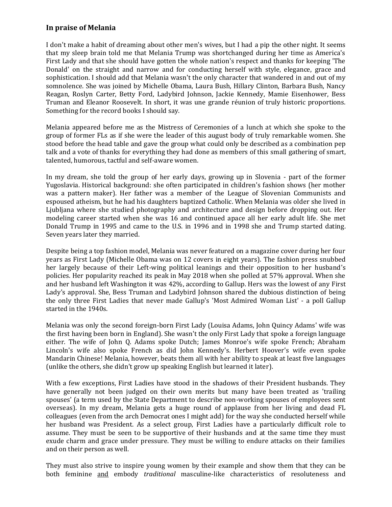## **In praise of Melania**

I don't make a habit of dreaming about other men's wives, but I had a pip the other night. It seems that my sleep brain told me that Melania Trump was shortchanged during her time as America's First Lady and that she should have gotten the whole nation's respect and thanks for keeping 'The Donald' on the straight and narrow and for conducting herself with style, elegance, grace and sophistication. I should add that Melania wasn't the only character that wandered in and out of my somnolence. She was joined by Michelle Obama, Laura Bush, Hillary Clinton, Barbara Bush, Nancy Reagan, Roslyn Carter, Betty Ford, Ladybird Johnson, Jackie Kennedy, Mamie Eisenhower, Bess Truman and Eleanor Roosevelt. In short, it was une grande réunion of truly historic proportions. Something for the record books I should say.

Melania appeared before me as the Mistress of Ceremonies of a lunch at which she spoke to the group of former FLs as if she were the leader of this august body of truly remarkable women. She stood before the head table and gave the group what could only be described as a combination pep talk and a vote of thanks for everything they had done as members of this small gathering of smart, talented, humorous, tactful and self-aware women.

In my dream, she told the group of her early days, growing up in Slovenia - part of the former Yugoslavia. Historical background: she often participated in children's fashion shows (her mother was a pattern maker). Her father was a member of the League of Slovenian Communists and espoused atheism, but he had his daughters baptized Catholic. When Melania was older she lived in Ljubljana where she studied photography and architecture and design before dropping out. Her modeling career started when she was 16 and continued apace all her early adult life. She met Donald Trump in 1995 and came to the U.S. in 1996 and in 1998 she and Trump started dating. Seven years later they married.

Despite being a top fashion model, Melania was never featured on a magazine cover during her four years as First Lady (Michelle Obama was on 12 covers in eight years). The fashion press snubbed her largely because of their Left-wing political leanings and their opposition to her husband's policies. Her popularity reached its peak in May 2018 when she polled at 57% approval. When she and her husband left Washington it was 42%, according to Gallup. Hers was the lowest of any First Lady's approval. She, Bess Truman and Ladybird Johnson shared the dubious distinction of being the only three First Ladies that never made Gallup's 'Most Admired Woman List' - a poll Gallup started in the 1940s.

Melania was only the second foreign-born First Lady (Louisa Adams, John Quincy Adams' wife was the first having been born in England). She wasn't the only First Lady that spoke a foreign language either. The wife of John Q. Adams spoke Dutch; James Monroe's wife spoke French; Abraham Lincoln's wife also spoke French as did John Kennedy's. Herbert Hoover's wife even spoke Mandarin Chinese! Melania, however, beats them all with her ability to speak at least five languages (unlike the others, she didn't grow up speaking English but learned it later).

With a few exceptions, First Ladies have stood in the shadows of their President husbands. They have generally not been judged on their own merits but many have been treated as 'trailing spouses' (a term used by the State Department to describe non-working spouses of employees sent overseas). In my dream, Melania gets a huge round of applause from her living and dead FL colleagues (even from the arch Democrat ones I might add) for the way she conducted herself while her husband was President. As a select group, First Ladies have a particularly difficult role to assume. They must be seen to be supportive of their husbands and at the same time they must exude charm and grace under pressure. They must be willing to endure attacks on their families and on their person as well.

They must also strive to inspire young women by their example and show them that they can be both feminine and embody *traditional* masculine-like characteristics of resoluteness and